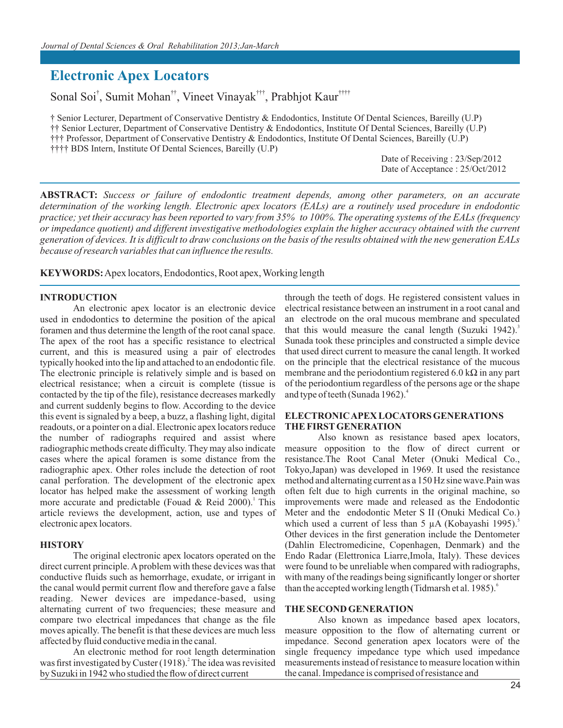# **Electronic Apex Locators**

Sonal Soi<sup>†</sup>, Sumit Mohan<sup>††</sup>, Vineet Vinayak<sup>†††</sup>, Prabhjot Kaur<sup>††††</sup>

† Senior Lecturer, Department of Conservative Dentistry & Endodontics, Institute Of Dental Sciences, Bareilly (U.P) †† Senior Lecturer, Department of Conservative Dentistry & Endodontics, Institute Of Dental Sciences, Bareilly (U.P) (U.P) ††† Professor, Department of Conservative Dentistry & Endodontics, Institute Of Dental Sciences, Bareilly †††† BDS Intern, Institute Of Dental Sciences, Bareilly (U.P)

> Date of Receiving : 23/Sep/2012 Date of Acceptance : 25/Oct/2012

**ABSTRACT:** *Success or failure of endodontic treatment depends, among other parameters, on an accurate determination of the working length. Electronic apex locators (EALs) are a routinely used procedure in endodontic practice; yet their accuracy has been reported to vary from 35% to 100%. The operating systems of the EALs (frequency or impedance quotient) and different investigative methodologies explain the higher accuracy obtained with the current generation of devices. It is difficult to draw conclusions on the basis of the results obtained with the new generation EALs because of research variables that can influence the results.*

**KEYWORDS:** Apex locators, Endodontics, Root apex, Working length

### **INTRODUCTION**

An electronic apex locator is an electronic device used in endodontics to determine the position of the apical foramen and thus determine the length of the root canal space. The apex of the root has a specific resistance to electrical current, and this is measured using a pair of electrodes typically hooked into the lip and attached to an endodontic file. The electronic principle is relatively simple and is based on electrical resistance; when a circuit is complete (tissue is contacted by the tip of the file), resistance decreases markedly and current suddenly begins to flow. According to the device this event is signaled by a beep, a buzz, a flashing light, digital readouts, or a pointer on a dial. Electronic apex locators reduce the number of radiographs required and assist where radiographic methods create difficulty. They may also indicate cases where the apical foramen is some distance from the radiographic apex. Other roles include the detection of root canal perforation. The development of the electronic apex locator has helped make the assessment of working length more accurate and predictable (Fouad & Reid 2000). This article reviews the development, action, use and types of electronic apex locators.

#### **HISTORY**

The original electronic apex locators operated on the direct current principle. A problem with these devices was that conductive fluids such as hemorrhage, exudate, or irrigant in the canal would permit current flow and therefore gave a false reading. Newer devices are impedance-based, using alternating current of two frequencies; these measure and compare two electrical impedances that change as the file moves apically. The benefit is that these devices are much less affected by fluid conductive media in the canal.

An electronic method for root length determination was first investigated by Custer  $(1918)$ .<sup>2</sup> The idea was revisited by Suzuki in 1942 who studied the flow of direct current

through the teeth of dogs. He registered consistent values in electrical resistance between an instrument in a root canal and an electrode on the oral mucous membrane and speculated that this would measure the canal length (Suzuki 1942).<sup>3</sup> Sunada took these principles and constructed a simple device that used direct current to measure the canal length. It worked on the principle that the electrical resistance of the mucous membrane and the periodontium registered 6.0 k $\Omega$  in any part of the periodontium regardless of the persons age or the shape and type of teeth (Sunada 1962).<sup>4</sup>

#### **ELECTRONIC APEX LOCATORS GENERATIONS THE FIRST GENERATION**

Also known as resistance based apex locators, measure opposition to the flow of direct current or resistance.The Root Canal Meter (Onuki Medical Co., Tokyo,Japan) was developed in 1969. It used the resistance method and alternating current as a 150 Hz sine wave.Pain was often felt due to high currents in the original machine, so improvements were made and released as the Endodontic Meter and the endodontic Meter S II (Onuki Medical Co.) which used a current of less than 5  $\mu$ A (Kobayashi 1995).<sup>5</sup> Other devices in the first generation include the Dentometer (Dahlin Electromedicine, Copenhagen, Denmark) and the Endo Radar (Elettronica Liarre,Imola, Italy). These devices were found to be unreliable when compared with radiographs, with many of the readings being significantly longer or shorter than the accepted working length (Tidmarsh et al. 1985).<sup>6</sup>

#### **THE SECOND GENERATION**

Also known as impedance based apex locators, measure opposition to the flow of alternating current or impedance. Second generation apex locators were of the single frequency impedance type which used impedance measurements instead of resistance to measure location within the canal. Impedance is comprised of resistance and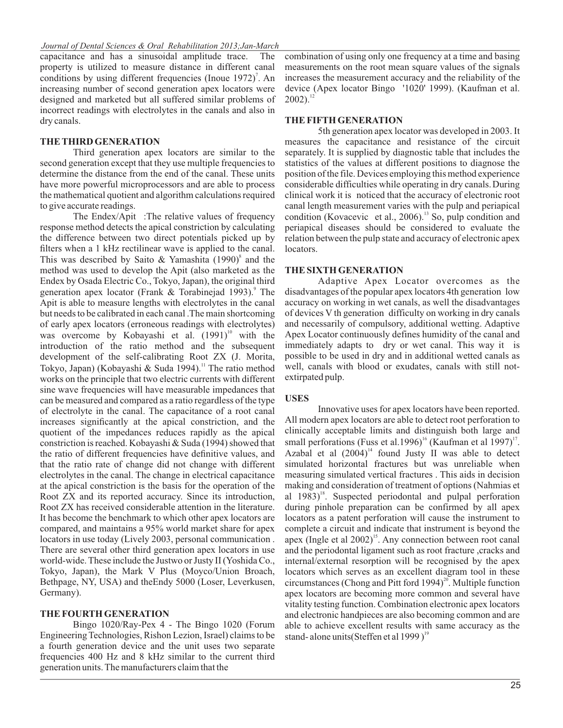capacitance and has a sinusoidal amplitude trace. The property is utilized to measure distance in different canal conditions by using different frequencies (Inoue 1972)<sup>7</sup>. An increasing number of second generation apex locators were designed and marketed but all suffered similar problems of incorrect readings with electrolytes in the canals and also in dry canals.

#### **THE THIRD GENERATION**

Third generation apex locators are similar to the second generation except that they use multiple frequencies to determine the distance from the end of the canal. These units have more powerful microprocessors and are able to process the mathematical quotient and algorithm calculations required to give accurate readings.

The Endex/Apit :The relative values of frequency response method detects the apical constriction by calculating the difference between two direct potentials picked up by filters when a 1 kHz rectilinear wave is applied to the canal. This was described by Saito & Yamashita  $(1990)^8$  and the method was used to develop the Apit (also marketed as the Endex by Osada Electric Co., Tokyo, Japan), the original third generation apex locator (Frank & Torabinejad 1993).<sup>9</sup> The Apit is able to measure lengths with electrolytes in the canal but needs to be calibrated in each canal .The main shortcoming of early apex locators (erroneous readings with electrolytes) was overcome by Kobayashi et al.  $(1991)^{10}$  with the introduction of the ratio method and the subsequent development of the self-calibrating Root ZX (J. Morita, Tokyo, Japan) (Kobayashi & Suda 1994).<sup>11</sup> The ratio method works on the principle that two electric currents with different sine wave frequencies will have measurable impedances that can be measured and compared as a ratio regardless of the type of electrolyte in the canal. The capacitance of a root canal increases significantly at the apical constriction, and the quotient of the impedances reduces rapidly as the apical constriction is reached. Kobayashi & Suda (1994) showed that the ratio of different frequencies have definitive values, and that the ratio rate of change did not change with different electrolytes in the canal. The change in electrical capacitance at the apical constriction is the basis for the operation of the Root ZX and its reported accuracy. Since its introduction, Root ZX has received considerable attention in the literature. It has become the benchmark to which other apex locators are compared, and maintains a 95% world market share for apex locators in use today (Lively 2003, personal communication . There are several other third generation apex locators in use world-wide. These include the Justwo or Justy II (Yoshida Co., Tokyo, Japan), the Mark V Plus (Moyco/Union Broach, Bethpage, NY, USA) and theEndy 5000 (Loser, Leverkusen, Germany).

#### **THE FOURTH GENERATION**

Bingo 1020/Ray-Pex 4 - The Bingo 1020 (Forum Engineering Technologies, Rishon Lezion, Israel) claims to be a fourth generation device and the unit uses two separate frequencies 400 Hz and 8 kHz similar to the current third generation units. The manufacturers claim that the

combination of using only one frequency at a time and basing measurements on the root mean square values of the signals increases the measurement accuracy and the reliability of the device (Apex locator Bingo '1020' 1999). (Kaufman et al.  $2002$ ).<sup>12</sup>

#### **THE FIFTH GENERATION**

5th generation apex locator was developed in 2003. It measures the capacitance and resistance of the circuit separately. It is supplied by diagnostic table that includes the statistics of the values at different positions to diagnose the position of the file. Devices employing this method experience considerable difficulties while operating in dry canals.During clinical work it is noticed that the accuracy of electronic root canal length measurement varies with the pulp and periapical condition (Kovacevic et al., 2006).<sup>13</sup> So, pulp condition and periapical diseases should be considered to evaluate the relation between the pulp state and accuracy of electronic apex locators.

#### **THE SIXTH GENERATION**

Adaptive Apex Locator overcomes as the disadvantages of the popular apex locators 4th generation low accuracy on working in wet canals, as well the disadvantages of devices V th generation difficulty on working in dry canals and necessarily of compulsory, additional wetting. Adaptive Apex Locator continuously defines humidity of the canal and immediately adapts to dry or wet canal. This way it is possible to be used in dry and in additional wetted canals as well, canals with blood or exudates, canals with still notextirpated pulp.

#### **USES**

Innovative uses for apex locators have been reported. All modern apex locators are able to detect root perforation to clinically acceptable limits and distinguish both large and small perforations (Fuss et al.1996)<sup>16</sup> (Kaufman et al 1997)<sup>17</sup>. Azabal et al  $(2004)^{14}$  found Justy II was able to detect simulated horizontal fractures but was unreliable when measuring simulated vertical fractures . This aids in decision making and consideration of treatment of options (Nahmias et al  $1983$ <sup>18</sup>. Suspected periodontal and pulpal perforation during pinhole preparation can be confirmed by all apex locators as a patent perforation will cause the instrument to complete a circuit and indicate that instrument is beyond the apex (Ingle et al  $2002$ )<sup>15</sup>. Any connection between root canal and the periodontal ligament such as root fracture , cracks and internal/external resorption will be recognised by the apex locators which serves as an excellent diagram tool in these circumstances (Chong and Pitt ford 1994) $^{20}$ . Multiple function apex locators are becoming more common and several have vitality testing function. Combination electronic apex locators and electronic handpieces are also becoming common and are able to achieve excellent results with same accuracy as the stand- alone units (Steffen et al 1999)<sup>19</sup>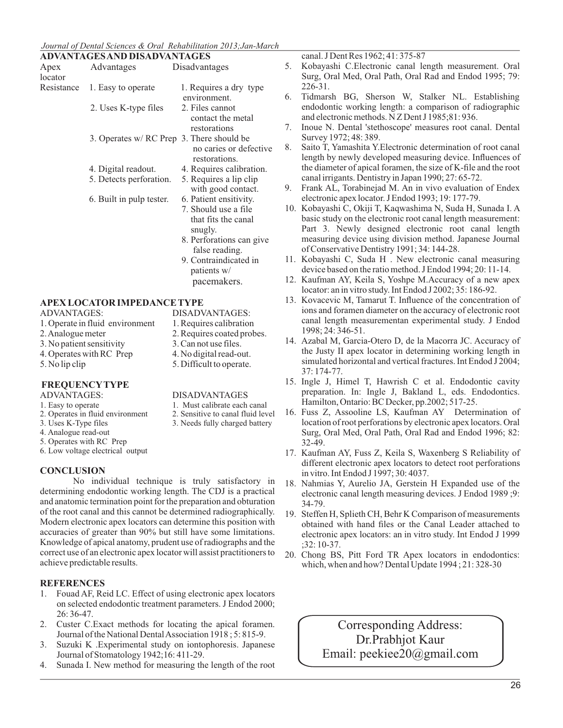#### *Journal of Dental Sciences & Oral Rehabilitation 2013;Jan-March*

|                                                                                                                                     | <b>ADVANTAGES AND DISADVANTAGES</b>       |                                                                                                                                                                        |        |
|-------------------------------------------------------------------------------------------------------------------------------------|-------------------------------------------|------------------------------------------------------------------------------------------------------------------------------------------------------------------------|--------|
| Apex<br>locator                                                                                                                     | Advantages                                | Disadvantages                                                                                                                                                          | 5      |
| Resistance                                                                                                                          | 1. Easy to operate                        | 1. Requires a dry type<br>environment.                                                                                                                                 | 6      |
|                                                                                                                                     | 2. Uses K-type files                      | 2. Files cannot<br>contact the metal<br>restorations                                                                                                                   | 7      |
|                                                                                                                                     | 3. Operates w/ RC Prep 3. There should be | no caries or defective<br>restorations.                                                                                                                                | 8      |
|                                                                                                                                     | 4. Digital readout.                       | 4. Requires calibration.                                                                                                                                               |        |
|                                                                                                                                     | 5. Detects perforation.                   | 5. Requires a lip clip<br>with good contact.                                                                                                                           | 9      |
|                                                                                                                                     | 6. Built in pulp tester.                  | 6. Patient ensitivity.<br>7. Should use a file<br>that fits the canal<br>snugly.<br>8. Perforations can give<br>false reading.<br>9. Contraindicated in<br>patients w/ | 1<br>1 |
|                                                                                                                                     |                                           | pacemakers.                                                                                                                                                            | 1      |
| <b>APEX LOCATOR IMPEDANCE TYPE</b>                                                                                                  |                                           |                                                                                                                                                                        | 1      |
| <b>ADVANTAGES:</b><br>1. Operate in fluid environment<br>2. Analogue meter<br>3. No patient sensitivity<br>4. Operates with RC Prep |                                           | DISADVANTAGES:<br>1. Requires calibration<br>2. Requires coated probes.<br>3. Can not use files.<br>4. No digital read-out.                                            | 1      |

# **FREQUENCY TYPE**

- 
- 
- 2. Operates in fluid environment
- 
- 4. Analogue read-out
- 5. Operates with RC Prep 6. Low voltage electrical output
- **CONCLUSION**

#### No individual technique is truly satisfactory in determining endodontic working length. The CDJ is a practical and anatomic termination point for the preparation and obturation of the root canal and this cannot be determined radiographically. Modern electronic apex locators can determine this position with accuracies of greater than 90% but still have some limitations. Knowledge of apical anatomy, prudent use of radiographs and the correct use of an electronic apex locator will assist practitioners to achieve predictable results.

## **REFERENCES**

- 1. Fouad AF, Reid LC. Effect of using electronic apex locators on selected endodontic treatment parameters. J Endod 2000; 26: 36-47.
- 2. Custer C.Exact methods for locating the apical foramen. Journal of the National Dental Association 1918 ; 5: 815-9.
- 3. Suzuki K .Experimental study on iontophoresis. Japanese Journal of Stomatology 1942;16: 411-29.
- 4. Sunada I. New method for measuring the length of the root

canal. J Dent Res 1962; 41: 375-87

- 5. Kobayashi C.Electronic canal length measurement. Oral Surg, Oral Med, Oral Path, Oral Rad and Endod 1995; 79: 226-31.
- 6. Tidmarsh BG, Sherson W, Stalker NL. Establishing endodontic working length: a comparison of radiographic and electronic methods. N Z Dent J 1985;81: 936.
- 7. Inoue N. Dental 'stethoscope' measures root canal. Dental Survey 1972; 48: 389.
- Saito T, Yamashita Y.Electronic determination of root canal length by newly developed measuring device. Influences of the diameter of apical foramen, the size of K-file and the root canal irrigants. Dentistry in Japan 1990; 27: 65-72.
- 9. Frank AL, Torabinejad M. An in vivo evaluation of Endex electronic apex locator. J Endod 1993; 19: 177-79.
- 10. Kobayashi C, Okiji T, Kaqwashima N, Suda H, Sunada I. A basic study on the electronic root canal length measurement: Part 3. Newly designed electronic root canal length measuring device using division method. Japanese Journal of Conservative Dentistry 1991; 34: 144-28.
- 11. Kobayashi C, Suda H . New electronic canal measuring device based on the ratio method. J Endod 1994; 20: 11-14.
- 12. Kaufman AY, Keila S, Yoshpe M.Accuracy of a new apex locator: an in vitro study. Int Endod J 2002; 35: 186-92.
- 13. Kovacevic M, Tamarut T. Influence of the concentration of ions and foramen diameter on the accuracy of electronic root canal length measurementan experimental study. J Endod 1998; 24: 346-51.
- 14. Azabal M, Garcia-Otero D, de la Macorra JC. Accuracy of the Justy II apex locator in determining working length in simulated horizontal and vertical fractures. Int Endod J 2004; 37: 174-77.
- 15. Ingle J, Himel T, Hawrish C et al. Endodontic cavity preparation. In: Ingle J, Bakland L, eds. Endodontics. Hamilton, Ontario: BC Decker, pp.2002; 517-25.
- 16. Fuss Z, Assooline LS, Kaufman AY Determination of location of root perforations by electronic apex locators. Oral Surg, Oral Med, Oral Path, Oral Rad and Endod 1996; 82: 32-49.
- 17. Kaufman AY, Fuss Z, Keila S, Waxenberg S Reliability of different electronic apex locators to detect root perforations in vitro. Int Endod J 1997; 30: 4037.
- 18. Nahmias Y, Aurelio JA, Gerstein H Expanded use of the electronic canal length measuring devices. J Endod 1989 ;9: 34-79.
- 19. Steffen H, Splieth CH, Behr K Comparison of measurements obtained with hand files or the Canal Leader attached to electronic apex locators: an in vitro study. Int Endod J 1999 ;32: 10-37.
- 20. Chong BS, Pitt Ford TR Apex locators in endodontics: which, when and how? Dental Update 1994 ; 21: 328-30

Corresponding Address: Dr.Prabhjot Kaur Email: peekiee20@gmail.com

- 5. No lip clip 5. Difficult to operate.
- ADVANTAGES: DISADVANTAGES
- 1. Easy to operate 1. Must calibrate each canal<br>2. Operates in fluid environment 2. Sensitive to canal fluid level
	-
- 3. Uses K-Type files 3. Needs fully charged battery